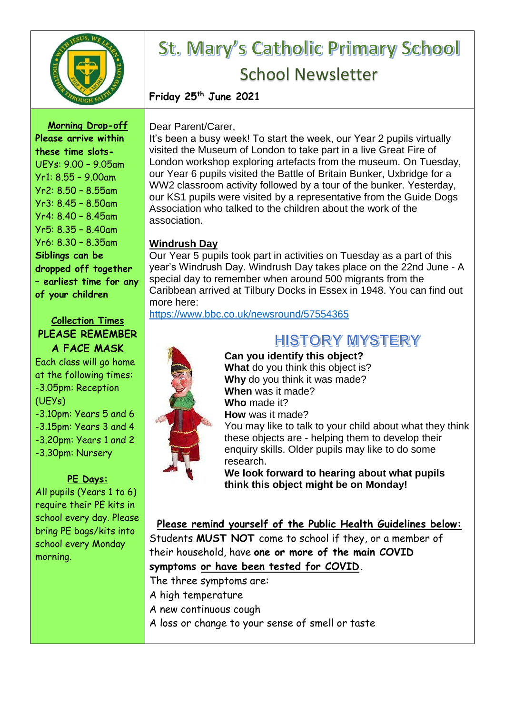

# St. Mary's Catholic Primary School School Newsletter

**Friday 25th June 2021**

**Morning Drop-off Please arrive within these time slots-**UEYs: 9.00 – 9.05am Yr1: 8.55 – 9.00am

Yr2: 8.50 – 8.55am Yr3: 8.45 – 8.50am Yr4: 8.40 – 8.45am Yr5: 8.35 – 8.40am Yr6: 8.30 – 8.35am **Siblings can be dropped off together – earliest time for any of your children**

#### **Collection Times PLEASE REMEMBER A FACE MASK**

Each class will go home at the following times: -3.05pm: Reception (UEYs) -3.10pm: Years 5 and 6 -3.15pm: Years 3 and 4 -3.20pm: Years 1 and 2 -3.30pm: Nursery

#### **PE Days:**

All pupils (Years 1 to 6) require their PE kits in school every day. Please bring PE bags/kits into school every Monday morning.

#### Dear Parent/Carer,

It's been a busy week! To start the week, our Year 2 pupils virtually visited the Museum of London to take part in a live Great Fire of London workshop exploring artefacts from the museum. On Tuesday, our Year 6 pupils visited the Battle of Britain Bunker, Uxbridge for a WW2 classroom activity followed by a tour of the bunker. Yesterday, our KS1 pupils were visited by a representative from the Guide Dogs Association who talked to the children about the work of the association.

#### **Windrush Day**

Our Year 5 pupils took part in activities on Tuesday as a part of this year's Windrush Day. Windrush Day takes place on the 22nd June - A special day to remember when around 500 migrants from the Caribbean arrived at Tilbury Docks in Essex in 1948. You can find out more here:

<https://www.bbc.co.uk/newsround/57554365>



## **HISTORY MYSTERY**

**Can you identify this object? What** do you think this object is? **Why** do you think it was made? **When** was it made? **Who** made it? **How** was it made?

You may like to talk to your child about what they think these objects are - helping them to develop their enquiry skills. Older pupils may like to do some research.

**We look forward to hearing about what pupils think this object might be on Monday!**

#### **Please remind yourself of the Public Health Guidelines below:**

Students **MUST NOT** come to school if they, or a member of their household, have **one or more of the main COVID symptoms or have been tested for COVID.**

The three symptoms are:

- A high temperature
- A new continuous cough
- A loss or change to your sense of smell or taste